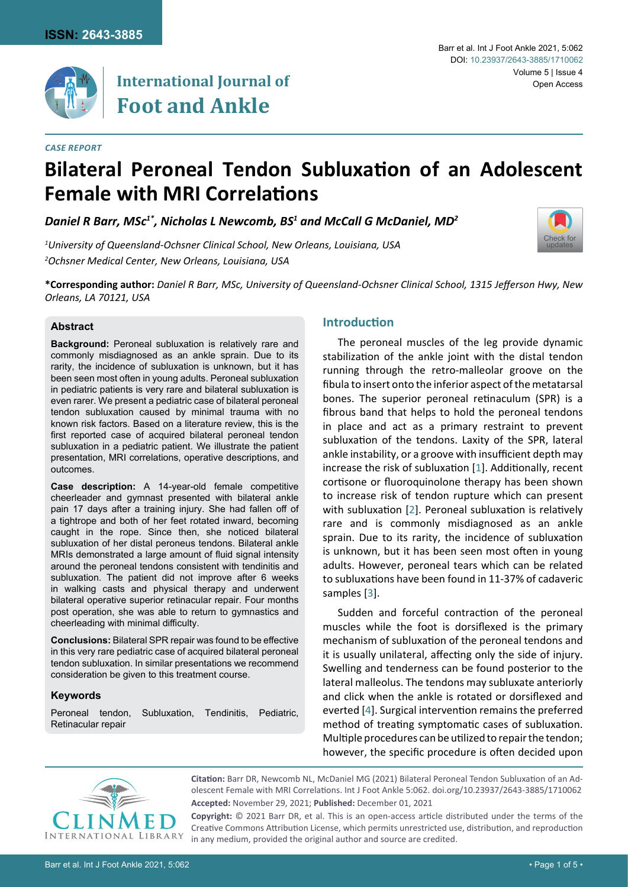

## **International Journal of Foot and Ankle**

[Check for](http://crossmark.crossref.org/dialog/?doi=/10.23937/2643-3885/1710062&domain=pdf) updates

# **Bilateral Peroneal Tendon Subluxation of an Adolescent Female with MRI Correlations**

*Daniel R Barr, MSc1\*, Nicholas L Newcomb, BS1 and McCall G McDaniel, MD2*

*1 University of Queensland-Ochsner Clinical School, New Orleans, Louisiana, USA 2 Ochsner Medical Center, New Orleans, Louisiana, USA*

**\*Corresponding author:** *Daniel R Barr, MSc, University of Queensland-Ochsner Clinical School, 1315 Jefferson Hwy, New Orleans, LA 70121, USA*

#### **Abstract**

**Background:** Peroneal subluxation is relatively rare and commonly misdiagnosed as an ankle sprain. Due to its rarity, the incidence of subluxation is unknown, but it has been seen most often in young adults. Peroneal subluxation in pediatric patients is very rare and bilateral subluxation is even rarer. We present a pediatric case of bilateral peroneal tendon subluxation caused by minimal trauma with no known risk factors. Based on a literature review, this is the first reported case of acquired bilateral peroneal tendon subluxation in a pediatric patient. We illustrate the patient presentation, MRI correlations, operative descriptions, and outcomes.

**Case description:** A 14-year-old female competitive cheerleader and gymnast presented with bilateral ankle pain 17 days after a training injury. She had fallen off of a tightrope and both of her feet rotated inward, becoming caught in the rope. Since then, she noticed bilateral subluxation of her distal peroneus tendons. Bilateral ankle MRIs demonstrated a large amount of fluid signal intensity around the peroneal tendons consistent with tendinitis and subluxation. The patient did not improve after 6 weeks in walking casts and physical therapy and underwent bilateral operative superior retinacular repair. Four months post operation, she was able to return to gymnastics and cheerleading with minimal difficulty.

**Conclusions:** Bilateral SPR repair was found to be effective in this very rare pediatric case of acquired bilateral peroneal tendon subluxation. In similar presentations we recommend consideration be given to this treatment course.

#### **Keywords**

Peroneal tendon, Subluxation, Tendinitis, Pediatric, Retinacular repair

### **Introduction**

The peroneal muscles of the leg provide dynamic stabilization of the ankle joint with the distal tendon running through the retro-malleolar groove on the fibula to insert onto the inferior aspect of the metatarsal bones. The superior peroneal retinaculum (SPR) is a fibrous band that helps to hold the peroneal tendons in place and act as a primary restraint to prevent subluxation of the tendons. Laxity of the SPR, lateral ankle instability, or a groove with insufficient depth may increase the risk of subluxation [[1](#page-4-0)]. Additionally, recent cortisone or fluoroquinolone therapy has been shown to increase risk of tendon rupture which can present with subluxation [[2](#page-4-1)]. Peroneal subluxation is relatively rare and is commonly misdiagnosed as an ankle sprain. Due to its rarity, the incidence of subluxation is unknown, but it has been seen most often in young adults. However, peroneal tears which can be related to subluxations have been found in 11-37% of cadaveric samples [\[3](#page-4-2)].

Sudden and forceful contraction of the peroneal muscles while the foot is dorsiflexed is the primary mechanism of subluxation of the peroneal tendons and it is usually unilateral, affecting only the side of injury. Swelling and tenderness can be found posterior to the lateral malleolus. The tendons may subluxate anteriorly and click when the ankle is rotated or dorsiflexed and everted [\[4\]](#page-4-3). Surgical intervention remains the preferred method of treating symptomatic cases of subluxation. Multiple procedures can be utilized to repair the tendon; however, the specific procedure is often decided upon



**Citation:** Barr DR, Newcomb NL, McDaniel MG (2021) Bilateral Peroneal Tendon Subluxation of an Adolescent Female with MRI Correlations. Int J Foot Ankle 5:062. [doi.org/10.23937/2643-3885/1710062](https://doi.org/10.23937/2643-3885/1710062) **Accepted:** November 29, 2021; **Published:** December 01, 2021

**Copyright:** © 2021 Barr DR, et al. This is an open-access article distributed under the terms of the Creative Commons Attribution License, which permits unrestricted use, distribution, and reproduction in any medium, provided the original author and source are credited.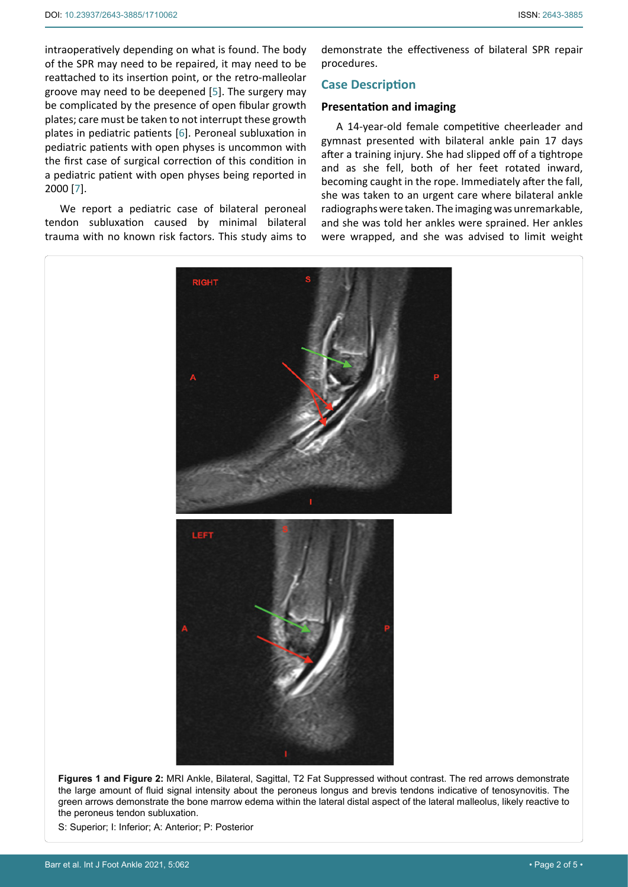intraoperatively depending on what is found. The body of the SPR may need to be repaired, it may need to be reattached to its insertion point, or the retro-malleolar groove may need to be deepened [\[5\]](#page-4-4). The surgery may be complicated by the presence of open fibular growth plates; care must be taken to not interrupt these growth plates in pediatric patients [[6](#page-4-5)]. Peroneal subluxation in pediatric patients with open physes is uncommon with the first case of surgical correction of this condition in a pediatric patient with open physes being reported in 2000 [[7](#page-4-6)].

We report a pediatric case of bilateral peroneal tendon subluxation caused by minimal bilateral trauma with no known risk factors. This study aims to

demonstrate the effectiveness of bilateral SPR repair procedures.

#### **Case Description**

#### **Presentation and imaging**

A 14-year-old female competitive cheerleader and gymnast presented with bilateral ankle pain 17 days after a training injury. She had slipped off of a tightrope and as she fell, both of her feet rotated inward, becoming caught in the rope. Immediately after the fall, she was taken to an urgent care where bilateral ankle radiographs were taken. The imaging was unremarkable, and she was told her ankles were sprained. Her ankles were wrapped, and she was advised to limit weight

<span id="page-1-0"></span>

**Figures 1 and Figure 2:** MRI Ankle, Bilateral, Sagittal, T2 Fat Suppressed without contrast. The red arrows demonstrate the large amount of fluid signal intensity about the peroneus longus and brevis tendons indicative of tenosynovitis. The green arrows demonstrate the bone marrow edema within the lateral distal aspect of the lateral malleolus, likely reactive to the peroneus tendon subluxation.

S: Superior; I: Inferior; A: Anterior; P: Posterior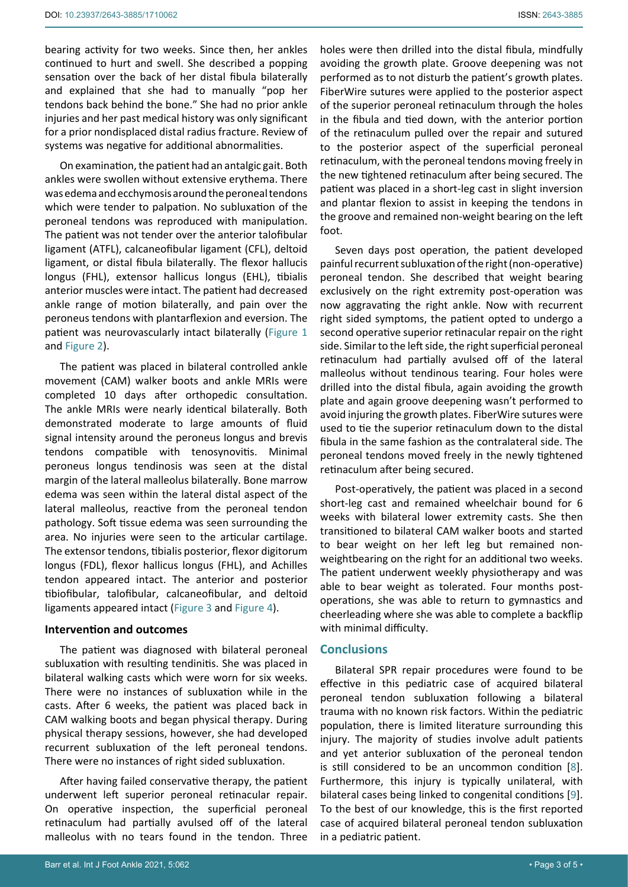bearing activity for two weeks. Since then, her ankles continued to hurt and swell. She described a popping sensation over the back of her distal fibula bilaterally and explained that she had to manually "pop her tendons back behind the bone." She had no prior ankle injuries and her past medical history was only significant for a prior nondisplaced distal radius fracture. Review of systems was negative for additional abnormalities.

On examination, the patient had an antalgic gait. Both ankles were swollen without extensive erythema. There was edema and ecchymosis around the peroneal tendons which were tender to palpation. No subluxation of the peroneal tendons was reproduced with manipulation. The patient was not tender over the anterior talofibular ligament (ATFL), calcaneofibular ligament (CFL), deltoid ligament, or distal fibula bilaterally. The flexor hallucis longus (FHL), extensor hallicus longus (EHL), tibialis anterior muscles were intact. The patient had decreased ankle range of motion bilaterally, and pain over the peroneus tendons with plantarflexion and eversion. The patient was neurovascularly intact bilaterally ([Figure 1](#page-1-0) and [Figure 2\)](#page-1-0).

The patient was placed in bilateral controlled ankle movement (CAM) walker boots and ankle MRIs were completed 10 days after orthopedic consultation. The ankle MRIs were nearly identical bilaterally. Both demonstrated moderate to large amounts of fluid signal intensity around the peroneus longus and brevis tendons compatible with tenosynovitis. Minimal peroneus longus tendinosis was seen at the distal margin of the lateral malleolus bilaterally. Bone marrow edema was seen within the lateral distal aspect of the lateral malleolus, reactive from the peroneal tendon pathology. Soft tissue edema was seen surrounding the area. No injuries were seen to the articular cartilage. The extensor tendons, tibialis posterior, flexor digitorum longus (FDL), flexor hallicus longus (FHL), and Achilles tendon appeared intact. The anterior and posterior tibiofibular, talofibular, calcaneofibular, and deltoid ligaments appeared intact [\(Figure 3](#page-3-0) and [Figure 4\)](#page-3-0).

#### **Intervention and outcomes**

The patient was diagnosed with bilateral peroneal subluxation with resulting tendinitis. She was placed in bilateral walking casts which were worn for six weeks. There were no instances of subluxation while in the casts. After 6 weeks, the patient was placed back in CAM walking boots and began physical therapy. During physical therapy sessions, however, she had developed recurrent subluxation of the left peroneal tendons. There were no instances of right sided subluxation.

After having failed conservative therapy, the patient underwent left superior peroneal retinacular repair. On operative inspection, the superficial peroneal retinaculum had partially avulsed off of the lateral malleolus with no tears found in the tendon. Three

holes were then drilled into the distal fibula, mindfully avoiding the growth plate. Groove deepening was not performed as to not disturb the patient's growth plates. FiberWire sutures were applied to the posterior aspect of the superior peroneal retinaculum through the holes in the fibula and tied down, with the anterior portion of the retinaculum pulled over the repair and sutured to the posterior aspect of the superficial peroneal retinaculum, with the peroneal tendons moving freely in the new tightened retinaculum after being secured. The patient was placed in a short-leg cast in slight inversion and plantar flexion to assist in keeping the tendons in the groove and remained non-weight bearing on the left foot.

Seven days post operation, the patient developed painful recurrent subluxation of the right (non-operative) peroneal tendon. She described that weight bearing exclusively on the right extremity post-operation was now aggravating the right ankle. Now with recurrent right sided symptoms, the patient opted to undergo a second operative superior retinacular repair on the right side. Similar to the left side, the right superficial peroneal retinaculum had partially avulsed off of the lateral malleolus without tendinous tearing. Four holes were drilled into the distal fibula, again avoiding the growth plate and again groove deepening wasn't performed to avoid injuring the growth plates. FiberWire sutures were used to tie the superior retinaculum down to the distal fibula in the same fashion as the contralateral side. The peroneal tendons moved freely in the newly tightened retinaculum after being secured.

Post-operatively, the patient was placed in a second short-leg cast and remained wheelchair bound for 6 weeks with bilateral lower extremity casts. She then transitioned to bilateral CAM walker boots and started to bear weight on her left leg but remained nonweightbearing on the right for an additional two weeks. The patient underwent weekly physiotherapy and was able to bear weight as tolerated. Four months postoperations, she was able to return to gymnastics and cheerleading where she was able to complete a backflip with minimal difficulty.

#### **Conclusions**

Bilateral SPR repair procedures were found to be effective in this pediatric case of acquired bilateral peroneal tendon subluxation following a bilateral trauma with no known risk factors. Within the pediatric population, there is limited literature surrounding this injury. The majority of studies involve adult patients and yet anterior subluxation of the peroneal tendon is still considered to be an uncommon condition [\[8\]](#page-4-7). Furthermore, this injury is typically unilateral, with bilateral cases being linked to congenital conditions [\[9\]](#page-4-8). To the best of our knowledge, this is the first reported case of acquired bilateral peroneal tendon subluxation in a pediatric patient.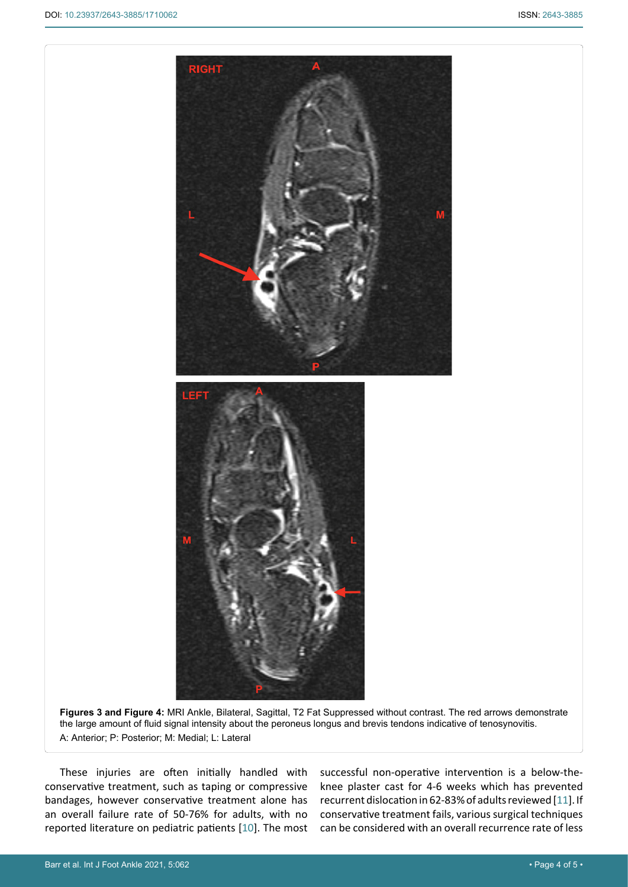<span id="page-3-0"></span>

**Figures 3 and Figure 4:** MRI Ankle, Bilateral, Sagittal, T2 Fat Suppressed without contrast. The red arrows demonstrate the large amount of fluid signal intensity about the peroneus longus and brevis tendons indicative of tenosynovitis. A: Anterior; P: Posterior; M: Medial; L: Lateral

These injuries are often initially handled with conservative treatment, such as taping or compressive bandages, however conservative treatment alone has an overall failure rate of 50-76% for adults, with no reported literature on pediatric patients [[10](#page-4-10)]. The most successful non-operative intervention is a below-theknee plaster cast for 4-6 weeks which has prevented recurrent dislocation in 62-83% of adults reviewed [[11](#page-4-9)]. If conservative treatment fails, various surgical techniques can be considered with an overall recurrence rate of less